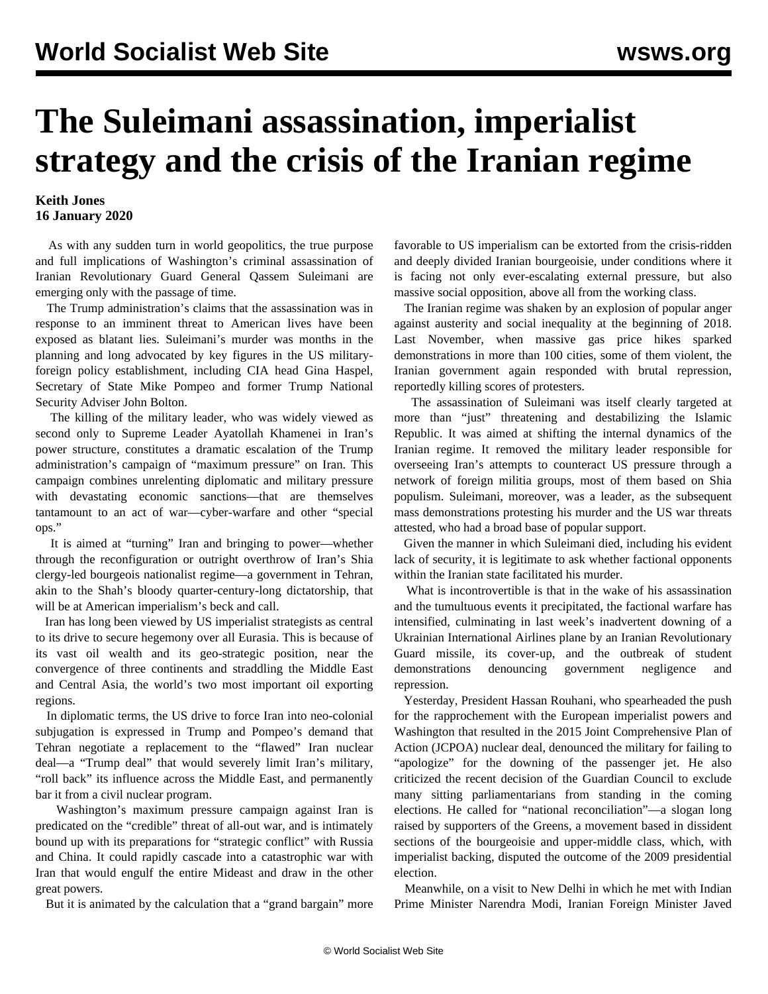## **The Suleimani assassination, imperialist strategy and the crisis of the Iranian regime**

## **Keith Jones 16 January 2020**

 As with any sudden turn in world geopolitics, the true purpose and full implications of Washington's criminal assassination of Iranian Revolutionary Guard General Qassem Suleimani are emerging only with the passage of time.

 The Trump administration's claims that the assassination was in response to an imminent threat to American lives have been exposed as blatant lies. Suleimani's murder was months in the planning and long advocated by key figures in the US militaryforeign policy establishment, including CIA head Gina Haspel, Secretary of State Mike Pompeo and former Trump National Security Adviser John Bolton.

 The killing of the military leader, who was widely viewed as second only to Supreme Leader Ayatollah Khamenei in Iran's power structure, constitutes a dramatic escalation of the Trump administration's campaign of "maximum pressure" on Iran. This campaign combines unrelenting diplomatic and military pressure with devastating economic sanctions—that are themselves tantamount to an act of war—cyber-warfare and other "special ops."

 It is aimed at "turning" Iran and bringing to power—whether through the reconfiguration or outright overthrow of Iran's Shia clergy-led bourgeois nationalist regime—a government in Tehran, akin to the Shah's bloody quarter-century-long dictatorship, that will be at American imperialism's beck and call.

 Iran has long been viewed by US imperialist strategists as central to its drive to secure hegemony over all Eurasia. This is because of its vast oil wealth and its geo-strategic position, near the convergence of three continents and straddling the Middle East and Central Asia, the world's two most important oil exporting regions.

 In diplomatic terms, the US drive to force Iran into neo-colonial subjugation is expressed in Trump and Pompeo's demand that Tehran negotiate a replacement to the "flawed" Iran nuclear deal—a "Trump deal" that would severely limit Iran's military, "roll back" its influence across the Middle East, and permanently bar it from a civil nuclear program.

 Washington's maximum pressure campaign against Iran is predicated on the "credible" threat of all-out war, and is intimately bound up with its preparations for "strategic conflict" with Russia and China. It could rapidly cascade into a catastrophic war with Iran that would engulf the entire Mideast and draw in the other great powers.

But it is animated by the calculation that a "grand bargain" more

favorable to US imperialism can be extorted from the crisis-ridden and deeply divided Iranian bourgeoisie, under conditions where it is facing not only ever-escalating external pressure, but also massive social opposition, above all from the working class.

 The Iranian regime was shaken by an explosion of popular anger against austerity and social inequality at the beginning of 2018. Last November, when massive gas price hikes sparked demonstrations in more than 100 cities, some of them violent, the Iranian government again responded with brutal repression, reportedly killing scores of protesters.

 The assassination of Suleimani was itself clearly targeted at more than "just" threatening and destabilizing the Islamic Republic. It was aimed at shifting the internal dynamics of the Iranian regime. It removed the military leader responsible for overseeing Iran's attempts to counteract US pressure through a network of foreign militia groups, most of them based on Shia populism. Suleimani, moreover, was a leader, as the subsequent mass demonstrations protesting his murder and the US war threats attested, who had a broad base of popular support.

 Given the manner in which Suleimani died, including his evident lack of security, it is legitimate to ask whether factional opponents within the Iranian state facilitated his murder.

 What is incontrovertible is that in the wake of his assassination and the tumultuous events it precipitated, the factional warfare has intensified, culminating in last week's inadvertent downing of a Ukrainian International Airlines plane by an Iranian Revolutionary Guard missile, its cover-up, and the outbreak of student demonstrations denouncing government negligence and repression.

 Yesterday, President Hassan Rouhani, who spearheaded the push for the rapprochement with the European imperialist powers and Washington that resulted in the 2015 Joint Comprehensive Plan of Action (JCPOA) nuclear deal, denounced the military for failing to "apologize" for the downing of the passenger jet. He also criticized the recent decision of the Guardian Council to exclude many sitting parliamentarians from standing in the coming elections. He called for "national reconciliation"—a slogan long raised by supporters of the Greens, a movement based in dissident sections of the bourgeoisie and upper-middle class, which, with imperialist backing, disputed the outcome of the 2009 presidential election.

 Meanwhile, on a visit to New Delhi in which he met with Indian Prime Minister Narendra Modi, Iranian Foreign Minister Javed